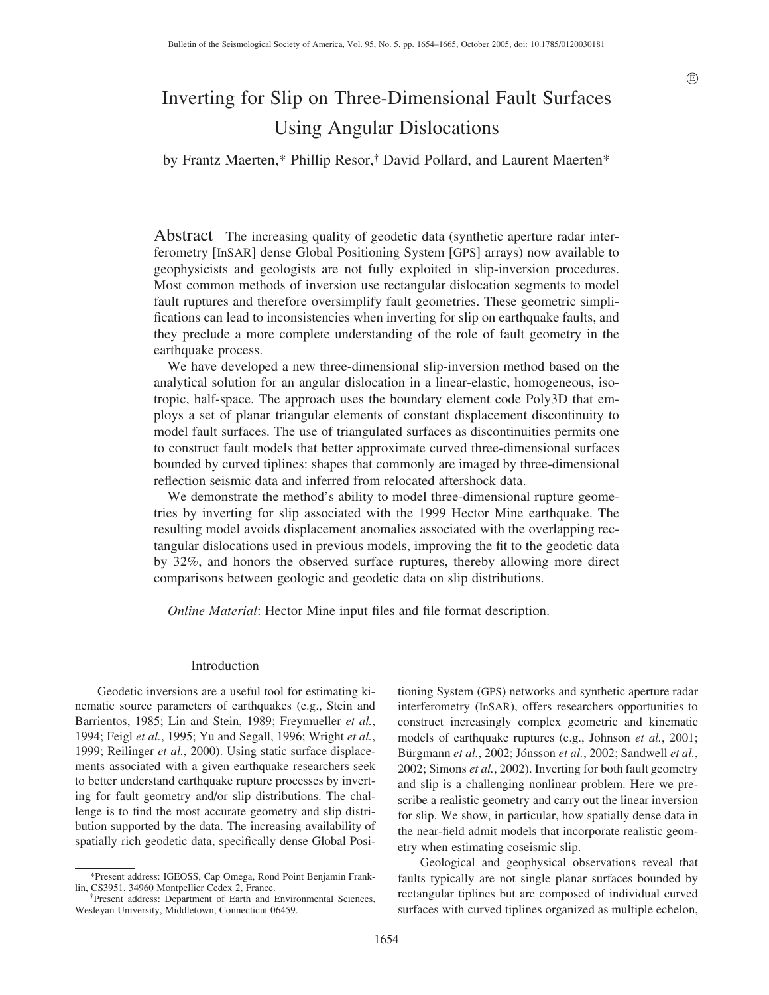# Inverting for Slip on Three-Dimensional Fault Surfaces Using Angular Dislocations

by Frantz Maerten,\* Phillip Resor,† David Pollard, and Laurent Maerten\*

Abstract The increasing quality of geodetic data (synthetic aperture radar interferometry [InSAR] dense Global Positioning System [GPS] arrays) now available to geophysicists and geologists are not fully exploited in slip-inversion procedures. Most common methods of inversion use rectangular dislocation segments to model fault ruptures and therefore oversimplify fault geometries. These geometric simplifications can lead to inconsistencies when inverting for slip on earthquake faults, and they preclude a more complete understanding of the role of fault geometry in the earthquake process.

We have developed a new three-dimensional slip-inversion method based on the analytical solution for an angular dislocation in a linear-elastic, homogeneous, isotropic, half-space. The approach uses the boundary element code Poly3D that employs a set of planar triangular elements of constant displacement discontinuity to model fault surfaces. The use of triangulated surfaces as discontinuities permits one to construct fault models that better approximate curved three-dimensional surfaces bounded by curved tiplines: shapes that commonly are imaged by three-dimensional reflection seismic data and inferred from relocated aftershock data.

We demonstrate the method's ability to model three-dimensional rupture geometries by inverting for slip associated with the 1999 Hector Mine earthquake. The resulting model avoids displacement anomalies associated with the overlapping rectangular dislocations used in previous models, improving the fit to the geodetic data by 32%, and honors the observed surface ruptures, thereby allowing more direct comparisons between geologic and geodetic data on slip distributions.

*Online Material*: Hector Mine input files and file format description.

# Introduction

Geodetic inversions are a useful tool for estimating kinematic source parameters of earthquakes (e.g., Stein and Barrientos, 1985; Lin and Stein, 1989; Freymueller *et al.*, 1994; Feigl *et al.*, 1995; Yu and Segall, 1996; Wright *et al.*, 1999; Reilinger *et al.*, 2000). Using static surface displacements associated with a given earthquake researchers seek to better understand earthquake rupture processes by inverting for fault geometry and/or slip distributions. The challenge is to find the most accurate geometry and slip distribution supported by the data. The increasing availability of spatially rich geodetic data, specifically dense Global Positioning System (GPS) networks and synthetic aperture radar interferometry (InSAR), offers researchers opportunities to construct increasingly complex geometric and kinematic models of earthquake ruptures (e.g., Johnson *et al.*, 2001; Bürgmann et al., 2002; Jónsson et al., 2002; Sandwell et al., 2002; Simons *et al.*, 2002). Inverting for both fault geometry and slip is a challenging nonlinear problem. Here we prescribe a realistic geometry and carry out the linear inversion for slip. We show, in particular, how spatially dense data in the near-field admit models that incorporate realistic geometry when estimating coseismic slip.

Geological and geophysical observations reveal that faults typically are not single planar surfaces bounded by rectangular tiplines but are composed of individual curved surfaces with curved tiplines organized as multiple echelon,

<sup>\*</sup>Present address: IGEOSS, Cap Omega, Rond Point Benjamin Franklin, CS3951, 34960 Montpellier Cedex 2, France.

<sup>†</sup>Present address: Department of Earth and Environmental Sciences, Wesleyan University, Middletown, Connecticut 06459.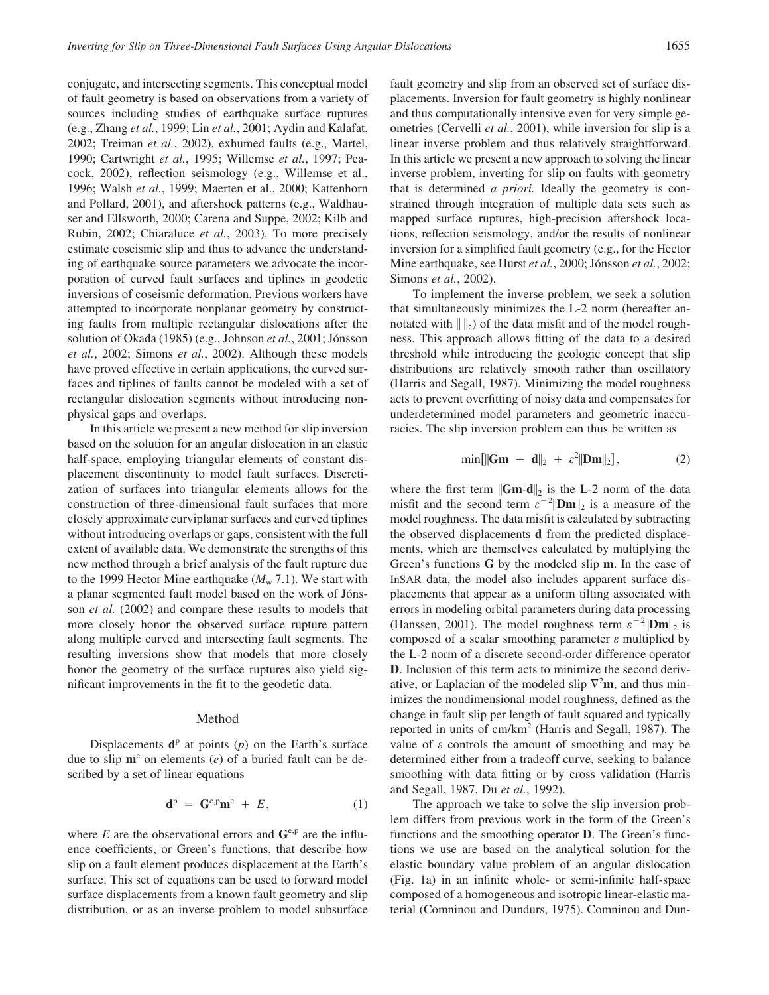conjugate, and intersecting segments. This conceptual model of fault geometry is based on observations from a variety of sources including studies of earthquake surface ruptures (e.g., Zhang *et al.*, 1999; Lin *et al.*, 2001; Aydin and Kalafat, 2002; Treiman *et al.*, 2002), exhumed faults (e.g., Martel, 1990; Cartwright *et al.*, 1995; Willemse *et al.*, 1997; Peacock, 2002), reflection seismology (e.g., Willemse et al., 1996; Walsh *et al.*, 1999; Maerten et al., 2000; Kattenhorn and Pollard, 2001), and aftershock patterns (e.g., Waldhauser and Ellsworth, 2000; Carena and Suppe, 2002; Kilb and Rubin, 2002; Chiaraluce *et al.*, 2003). To more precisely estimate coseismic slip and thus to advance the understanding of earthquake source parameters we advocate the incorporation of curved fault surfaces and tiplines in geodetic inversions of coseismic deformation. Previous workers have attempted to incorporate nonplanar geometry by constructing faults from multiple rectangular dislocations after the solution of Okada (1985) (e.g., Johnson et al., 2001; Jónsson *et al.*, 2002; Simons *et al.*, 2002). Although these models have proved effective in certain applications, the curved surfaces and tiplines of faults cannot be modeled with a set of rectangular dislocation segments without introducing nonphysical gaps and overlaps.

In this article we present a new method for slip inversion based on the solution for an angular dislocation in an elastic half-space, employing triangular elements of constant displacement discontinuity to model fault surfaces. Discretization of surfaces into triangular elements allows for the construction of three-dimensional fault surfaces that more closely approximate curviplanar surfaces and curved tiplines without introducing overlaps or gaps, consistent with the full extent of available data. We demonstrate the strengths of this new method through a brief analysis of the fault rupture due to the 1999 Hector Mine earthquake  $(M_w 7.1)$ . We start with a planar segmented fault model based on the work of Jónsson *et al.* (2002) and compare these results to models that more closely honor the observed surface rupture pattern along multiple curved and intersecting fault segments. The resulting inversions show that models that more closely honor the geometry of the surface ruptures also yield significant improvements in the fit to the geodetic data.

## Method

Displacements  $\mathbf{d}^p$  at points (*p*) on the Earth's surface due to slip  $\mathbf{m}^e$  on elements (*e*) of a buried fault can be described by a set of linear equations

$$
\mathbf{d}^{\mathrm{p}} = \mathbf{G}^{\mathrm{e},\mathrm{p}} \mathbf{m}^{\mathrm{e}} + E, \tag{1}
$$

where  $E$  are the observational errors and  $\mathbf{G}^{\text{e,p}}$  are the influence coefficients, or Green's functions, that describe how slip on a fault element produces displacement at the Earth's surface. This set of equations can be used to forward model surface displacements from a known fault geometry and slip distribution, or as an inverse problem to model subsurface fault geometry and slip from an observed set of surface displacements. Inversion for fault geometry is highly nonlinear and thus computationally intensive even for very simple geometries (Cervelli *et al.*, 2001), while inversion for slip is a linear inverse problem and thus relatively straightforward. In this article we present a new approach to solving the linear inverse problem, inverting for slip on faults with geometry that is determined *a priori.* Ideally the geometry is constrained through integration of multiple data sets such as mapped surface ruptures, high-precision aftershock locations, reflection seismology, and/or the results of nonlinear inversion for a simplified fault geometry (e.g., for the Hector Mine earthquake, see Hurst *et al.*, 2000; Jónsson *et al.*, 2002; Simons *et al.*, 2002).

To implement the inverse problem, we seek a solution that simultaneously minimizes the L-2 norm (hereafter annotated with  $\| \cdot \|_2$  of the data misfit and of the model roughness. This approach allows fitting of the data to a desired threshold while introducing the geologic concept that slip distributions are relatively smooth rather than oscillatory (Harris and Segall, 1987). Minimizing the model roughness acts to prevent overfitting of noisy data and compensates for underdetermined model parameters and geometric inaccuracies. The slip inversion problem can thus be written as

$$
\min[\|\mathbf{Gm} - \mathbf{d}\|_2 + \varepsilon^2 \|\mathbf{Dm}\|_2],\tag{2}
$$

where the first term  $\|\mathbf{Gm-d}\|_2$  is the L-2 norm of the data misfit and the second term  $\varepsilon^{-2}$   $|\mathbf{Dm}|_2$  is a measure of the model roughness. The data misfit is calculated by subtracting the observed displacements **d** from the predicted displacements, which are themselves calculated by multiplying the Green's functions **G** by the modeled slip **m**. In the case of InSAR data, the model also includes apparent surface displacements that appear as a uniform tilting associated with errors in modeling orbital parameters during data processing (Hanssen, 2001). The model roughness term  $\varepsilon^{-2}$ ||**Dm**||<sub>2</sub> is composed of a scalar smoothing parameter *e* multiplied by the L-2 norm of a discrete second-order difference operator **D**. Inclusion of this term acts to minimize the second derivative, or Laplacian of the modeled slip  $\nabla^2$ **m**, and thus minimizes the nondimensional model roughness, defined as the change in fault slip per length of fault squared and typically reported in units of cm/km<sup>2</sup> (Harris and Segall, 1987). The value of  $\varepsilon$  controls the amount of smoothing and may be determined either from a tradeoff curve, seeking to balance smoothing with data fitting or by cross validation (Harris and Segall, 1987, Du *et al.*, 1992).

The approach we take to solve the slip inversion problem differs from previous work in the form of the Green's functions and the smoothing operator **D**. The Green's functions we use are based on the analytical solution for the elastic boundary value problem of an angular dislocation (Fig. 1a) in an infinite whole- or semi-infinite half-space composed of a homogeneous and isotropic linear-elastic material (Comninou and Dundurs, 1975). Comninou and Dun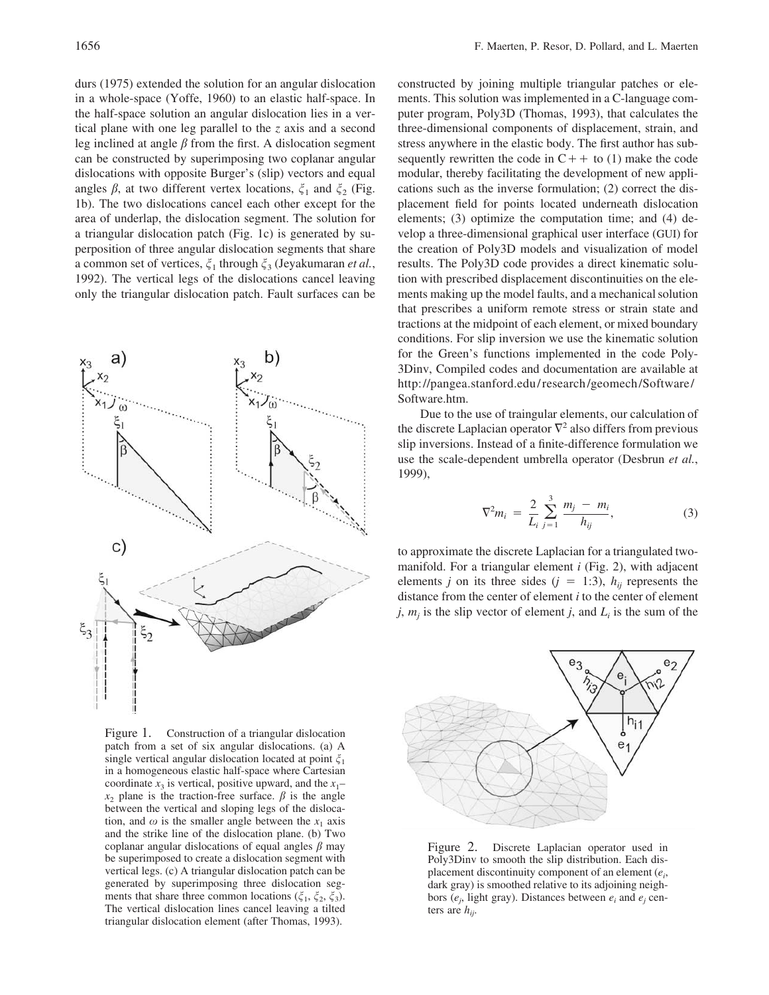durs (1975) extended the solution for an angular dislocation in a whole-space (Yoffe, 1960) to an elastic half-space. In the half-space solution an angular dislocation lies in a vertical plane with one leg parallel to the *z* axis and a second leg inclined at angle  $\beta$  from the first. A dislocation segment can be constructed by superimposing two coplanar angular dislocations with opposite Burger's (slip) vectors and equal angles  $\beta$ , at two different vertex locations,  $\xi_1$  and  $\xi_2$  (Fig. 1b). The two dislocations cancel each other except for the area of underlap, the dislocation segment. The solution for a triangular dislocation patch (Fig. 1c) is generated by superposition of three angular dislocation segments that share a common set of vertices,  $\xi_1$  through  $\xi_3$  (Jeyakumaran *et al.*, 1992). The vertical legs of the dislocations cancel leaving only the triangular dislocation patch. Fault surfaces can be



Figure 1. Construction of a triangular dislocation patch from a set of six angular dislocations. (a) A single vertical angular dislocation located at point  $\xi_1$ in a homogeneous elastic half-space where Cartesian coordinate  $x_3$  is vertical, positive upward, and the  $x_1$ –  $x_2$  plane is the traction-free surface.  $\beta$  is the angle between the vertical and sloping legs of the dislocation, and  $\omega$  is the smaller angle between the  $x_1$  axis and the strike line of the dislocation plane. (b) Two coplanar angular dislocations of equal angles  $\beta$  may be superimposed to create a dislocation segment with vertical legs. (c) A triangular dislocation patch can be generated by superimposing three dislocation segments that share three common locations ( $\zeta_1$ ,  $\zeta_2$ ,  $\zeta_3$ ). The vertical dislocation lines cancel leaving a tilted triangular dislocation element (after Thomas, 1993).

constructed by joining multiple triangular patches or elements. This solution was implemented in a C-language computer program, Poly3D (Thomas, 1993), that calculates the three-dimensional components of displacement, strain, and stress anywhere in the elastic body. The first author has subsequently rewritten the code in  $C++$  to (1) make the code modular, thereby facilitating the development of new applications such as the inverse formulation; (2) correct the displacement field for points located underneath dislocation elements; (3) optimize the computation time; and (4) develop a three-dimensional graphical user interface (GUI) for the creation of Poly3D models and visualization of model results. The Poly3D code provides a direct kinematic solution with prescribed displacement discontinuities on the elements making up the model faults, and a mechanical solution that prescribes a uniform remote stress or strain state and tractions at the midpoint of each element, or mixed boundary conditions. For slip inversion we use the kinematic solution for the Green's functions implemented in the code Poly-3Dinv, Compiled codes and documentation are available at http://pangea.stanford.edu/research/geomech/Software/ Software.htm.

Due to the use of traingular elements, our calculation of the discrete Laplacian operator  $\nabla^2$  also differs from previous slip inversions. Instead of a finite-difference formulation we use the scale-dependent umbrella operator (Desbrun *et al.*, 1999),

$$
\nabla^2 m_i = \frac{2}{L_i} \sum_{j=1}^3 \frac{m_j - m_i}{h_{ij}},
$$
 (3)

to approximate the discrete Laplacian for a triangulated twomanifold. For a triangular element *i* (Fig. 2), with adjacent elements *j* on its three sides ( $j = 1:3$ ),  $h_{ij}$  represents the distance from the center of element *i* to the center of element *j*,  $m_i$  is the slip vector of element *j*, and  $L_i$  is the sum of the



Figure 2. Discrete Laplacian operator used in Poly3Dinv to smooth the slip distribution. Each displacement discontinuity component of an element (*ei* , dark gray) is smoothed relative to its adjoining neighbors (*ej* , light gray). Distances between *ei* and *ej* centers are  $h_{ii}$ .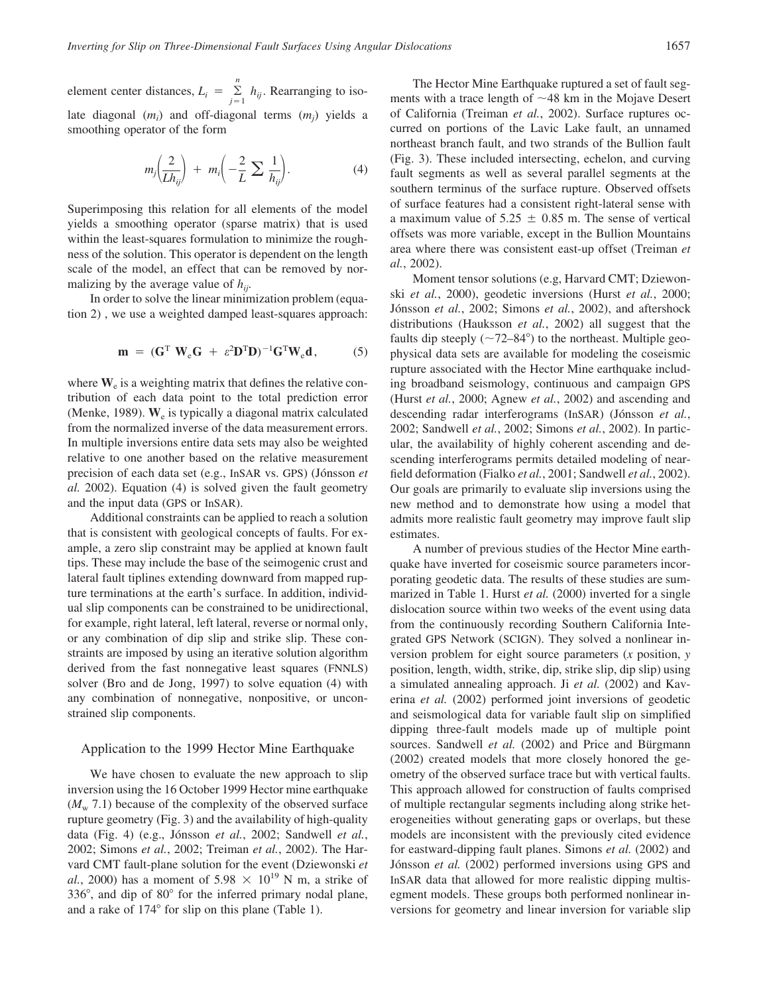element center distances,  $L_i = \sum_{j=1}^{n} h_{ij}$ . Rearranging to isolate diagonal (*mi* ) and off-diagonal terms (*mj* ) yields a smoothing operator of the form

$$
m_j\left(\frac{2}{Lh_{ij}}\right) + m_i\left(-\frac{2}{L}\sum_{i} \frac{1}{h_{ij}}\right).
$$
 (4)

Superimposing this relation for all elements of the model yields a smoothing operator (sparse matrix) that is used within the least-squares formulation to minimize the roughness of the solution. This operator is dependent on the length scale of the model, an effect that can be removed by normalizing by the average value of *hij*.

In order to solve the linear minimization problem (equation 2) , we use a weighted damped least-squares approach:

$$
\mathbf{m} = (\mathbf{G}^{\mathrm{T}} \ \mathbf{W}_{\mathrm{e}} \mathbf{G} + \varepsilon^2 \mathbf{D}^{\mathrm{T}} \mathbf{D})^{-1} \mathbf{G}^{\mathrm{T}} \mathbf{W}_{\mathrm{e}} \mathbf{d}, \tag{5}
$$

where  $W_e$  is a weighting matrix that defines the relative contribution of each data point to the total prediction error (Menke, 1989). **W**<sup>e</sup> is typically a diagonal matrix calculated from the normalized inverse of the data measurement errors. In multiple inversions entire data sets may also be weighted relative to one another based on the relative measurement precision of each data set (e.g., InSAR vs. GPS) (Jónsson *et al.* 2002). Equation (4) is solved given the fault geometry and the input data (GPS or InSAR).

Additional constraints can be applied to reach a solution that is consistent with geological concepts of faults. For example, a zero slip constraint may be applied at known fault tips. These may include the base of the seimogenic crust and lateral fault tiplines extending downward from mapped rupture terminations at the earth's surface. In addition, individual slip components can be constrained to be unidirectional, for example, right lateral, left lateral, reverse or normal only, or any combination of dip slip and strike slip. These constraints are imposed by using an iterative solution algorithm derived from the fast nonnegative least squares (FNNLS) solver (Bro and de Jong, 1997) to solve equation (4) with any combination of nonnegative, nonpositive, or unconstrained slip components.

## Application to the 1999 Hector Mine Earthquake

We have chosen to evaluate the new approach to slip inversion using the 16 October 1999 Hector mine earthquake  $(M_w 7.1)$  because of the complexity of the observed surface rupture geometry (Fig. 3) and the availability of high-quality data (Fig. 4) (e.g., Jónsson *et al.*, 2002; Sandwell *et al.*, 2002; Simons *et al.*, 2002; Treiman *et al.*, 2002). The Harvard CMT fault-plane solution for the event (Dziewonski *et al.*, 2000) has a moment of  $5.98 \times 10^{19}$  N m, a strike of  $336^{\circ}$ , and dip of  $80^{\circ}$  for the inferred primary nodal plane, and a rake of  $174^{\circ}$  for slip on this plane (Table 1).

The Hector Mine Earthquake ruptured a set of fault segments with a trace length of  $\sim$ 48 km in the Mojave Desert of California (Treiman *et al.*, 2002). Surface ruptures occurred on portions of the Lavic Lake fault, an unnamed northeast branch fault, and two strands of the Bullion fault (Fig. 3). These included intersecting, echelon, and curving fault segments as well as several parallel segments at the southern terminus of the surface rupture. Observed offsets of surface features had a consistent right-lateral sense with a maximum value of  $5.25 \pm 0.85$  m. The sense of vertical offsets was more variable, except in the Bullion Mountains area where there was consistent east-up offset (Treiman *et al.*, 2002).

Moment tensor solutions (e.g, Harvard CMT; Dziewonski *et al.*, 2000), geodetic inversions (Hurst *et al.*, 2000; Jónsson et al., 2002; Simons et al., 2002), and aftershock distributions (Hauksson *et al.*, 2002) all suggest that the faults dip steeply  $(\sim 72-84^{\circ})$  to the northeast. Multiple geophysical data sets are available for modeling the coseismic rupture associated with the Hector Mine earthquake including broadband seismology, continuous and campaign GPS (Hurst *et al.*, 2000; Agnew *et al.*, 2002) and ascending and descending radar interferograms (InSAR) (Jónsson *et al.*, 2002; Sandwell *et al.*, 2002; Simons *et al.*, 2002). In particular, the availability of highly coherent ascending and descending interferograms permits detailed modeling of nearfield deformation (Fialko *et al.*, 2001; Sandwell *et al.*, 2002). Our goals are primarily to evaluate slip inversions using the new method and to demonstrate how using a model that admits more realistic fault geometry may improve fault slip estimates.

A number of previous studies of the Hector Mine earthquake have inverted for coseismic source parameters incorporating geodetic data. The results of these studies are summarized in Table 1. Hurst *et al.* (2000) inverted for a single dislocation source within two weeks of the event using data from the continuously recording Southern California Integrated GPS Network (SCIGN). They solved a nonlinear inversion problem for eight source parameters (*x* position, *y* position, length, width, strike, dip, strike slip, dip slip) using a simulated annealing approach. Ji *et al.* (2002) and Kaverina *et al.* (2002) performed joint inversions of geodetic and seismological data for variable fault slip on simplified dipping three-fault models made up of multiple point sources. Sandwell *et al.* (2002) and Price and Bürgmann (2002) created models that more closely honored the geometry of the observed surface trace but with vertical faults. This approach allowed for construction of faults comprised of multiple rectangular segments including along strike heterogeneities without generating gaps or overlaps, but these models are inconsistent with the previously cited evidence for eastward-dipping fault planes. Simons *et al.* (2002) and Jónsson *et al.* (2002) performed inversions using GPS and InSAR data that allowed for more realistic dipping multisegment models. These groups both performed nonlinear inversions for geometry and linear inversion for variable slip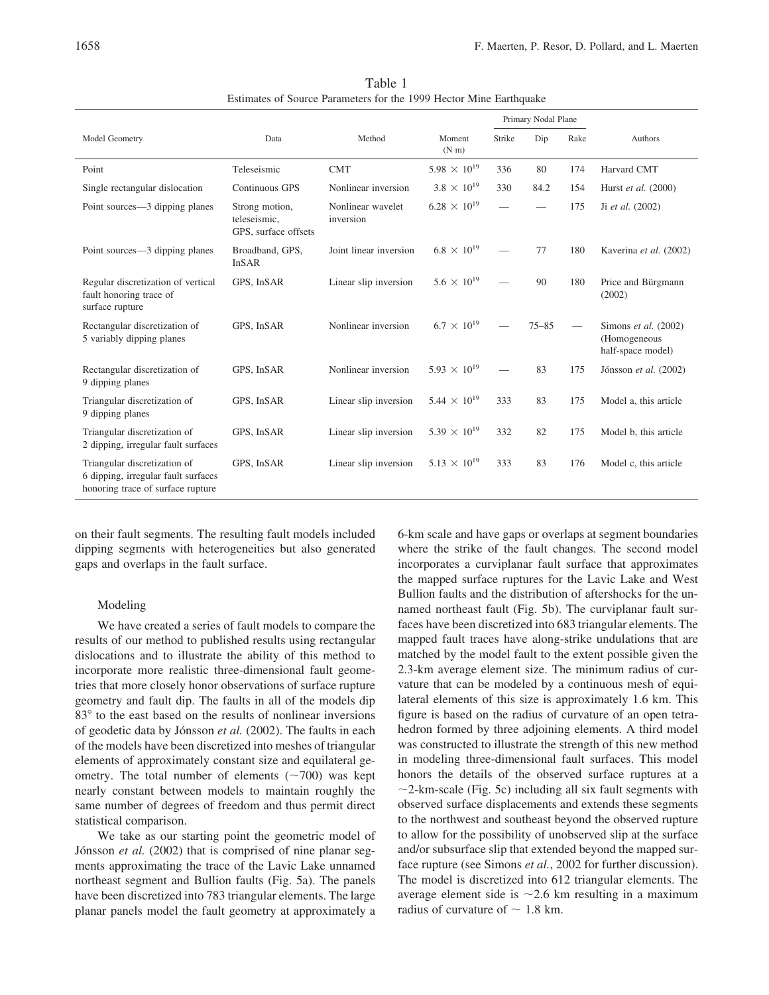|                                                                                                          |                                                        |                                |                                | Primary Nodal Plane |           |      |                                                             |
|----------------------------------------------------------------------------------------------------------|--------------------------------------------------------|--------------------------------|--------------------------------|---------------------|-----------|------|-------------------------------------------------------------|
| Model Geometry                                                                                           | Data                                                   | Method                         | Moment<br>$(N \, \text{m})$    | Strike              | Dip       | Rake | Authors                                                     |
| Point                                                                                                    | Teleseismic                                            | <b>CMT</b>                     | $5.98 \times 10^{19}$          | 336                 | 80        | 174  | Harvard CMT                                                 |
| Single rectangular dislocation                                                                           | Continuous GPS                                         | Nonlinear inversion            | $3.8 \times 10^{19}$           | 330                 | 84.2      | 154  | Hurst et al. (2000)                                         |
| Point sources—3 dipping planes                                                                           | Strong motion,<br>teleseismic,<br>GPS, surface offsets | Nonlinear wavelet<br>inversion | $6.28 \times 10^{19}$          |                     |           | 175  | Ji <i>et al.</i> $(2002)$                                   |
| Point sources—3 dipping planes                                                                           | Broadband, GPS,<br><b>InSAR</b>                        | Joint linear inversion         | $6.8 \times 10^{19}$           |                     | 77        | 180  | Kaverina et al. (2002)                                      |
| Regular discretization of vertical<br>fault honoring trace of<br>surface rupture                         | GPS, InSAR                                             | Linear slip inversion          | $5.6 \times 10^{19}$           |                     | 90        | 180  | Price and Bürgmann<br>(2002)                                |
| Rectangular discretization of<br>5 variably dipping planes                                               | GPS, InSAR                                             | Nonlinear inversion            | $6.7 \times 10^{19}$           |                     | $75 - 85$ |      | Simons et al. $(2002)$<br>(Homogeneous<br>half-space model) |
| Rectangular discretization of<br>9 dipping planes                                                        | GPS, InSAR                                             | Nonlinear inversion            | $5.93 \times 10^{19}$          |                     | 83        | 175  | Jónsson et al. (2002)                                       |
| Triangular discretization of<br>9 dipping planes                                                         | GPS, InSAR                                             | Linear slip inversion          | 5.44 $\times$ 10 <sup>19</sup> | 333                 | 83        | 175  | Model a, this article                                       |
| Triangular discretization of<br>2 dipping, irregular fault surfaces                                      | GPS, InSAR                                             | Linear slip inversion          | 5.39 $\times$ 10 <sup>19</sup> | 332                 | 82        | 175  | Model b, this article                                       |
| Triangular discretization of<br>6 dipping, irregular fault surfaces<br>honoring trace of surface rupture | GPS, InSAR                                             | Linear slip inversion          | $5.13 \times 10^{19}$          | 333                 | 83        | 176  | Model c, this article                                       |

Table 1 Estimates of Source Parameters for the 1999 Hector Mine Earthquake

on their fault segments. The resulting fault models included dipping segments with heterogeneities but also generated gaps and overlaps in the fault surface.

## Modeling

We have created a series of fault models to compare the results of our method to published results using rectangular dislocations and to illustrate the ability of this method to incorporate more realistic three-dimensional fault geometries that more closely honor observations of surface rupture geometry and fault dip. The faults in all of the models dip 83<sup>°</sup> to the east based on the results of nonlinear inversions of geodetic data by Jónsson et al. (2002). The faults in each of the models have been discretized into meshes of triangular elements of approximately constant size and equilateral geometry. The total number of elements  $(\sim 700)$  was kept nearly constant between models to maintain roughly the same number of degrees of freedom and thus permit direct statistical comparison.

We take as our starting point the geometric model of Jónsson *et al.* (2002) that is comprised of nine planar segments approximating the trace of the Lavic Lake unnamed northeast segment and Bullion faults (Fig. 5a). The panels have been discretized into 783 triangular elements. The large planar panels model the fault geometry at approximately a

6-km scale and have gaps or overlaps at segment boundaries where the strike of the fault changes. The second model incorporates a curviplanar fault surface that approximates the mapped surface ruptures for the Lavic Lake and West Bullion faults and the distribution of aftershocks for the unnamed northeast fault (Fig. 5b). The curviplanar fault surfaces have been discretized into 683 triangular elements. The mapped fault traces have along-strike undulations that are matched by the model fault to the extent possible given the 2.3-km average element size. The minimum radius of curvature that can be modeled by a continuous mesh of equilateral elements of this size is approximately 1.6 km. This figure is based on the radius of curvature of an open tetrahedron formed by three adjoining elements. A third model was constructed to illustrate the strength of this new method in modeling three-dimensional fault surfaces. This model honors the details of the observed surface ruptures at a  $\sim$ 2-km-scale (Fig. 5c) including all six fault segments with observed surface displacements and extends these segments to the northwest and southeast beyond the observed rupture to allow for the possibility of unobserved slip at the surface and/or subsurface slip that extended beyond the mapped surface rupture (see Simons *et al.*, 2002 for further discussion). The model is discretized into 612 triangular elements. The average element side is  $\sim$  2.6 km resulting in a maximum radius of curvature of  $\sim 1.8$  km.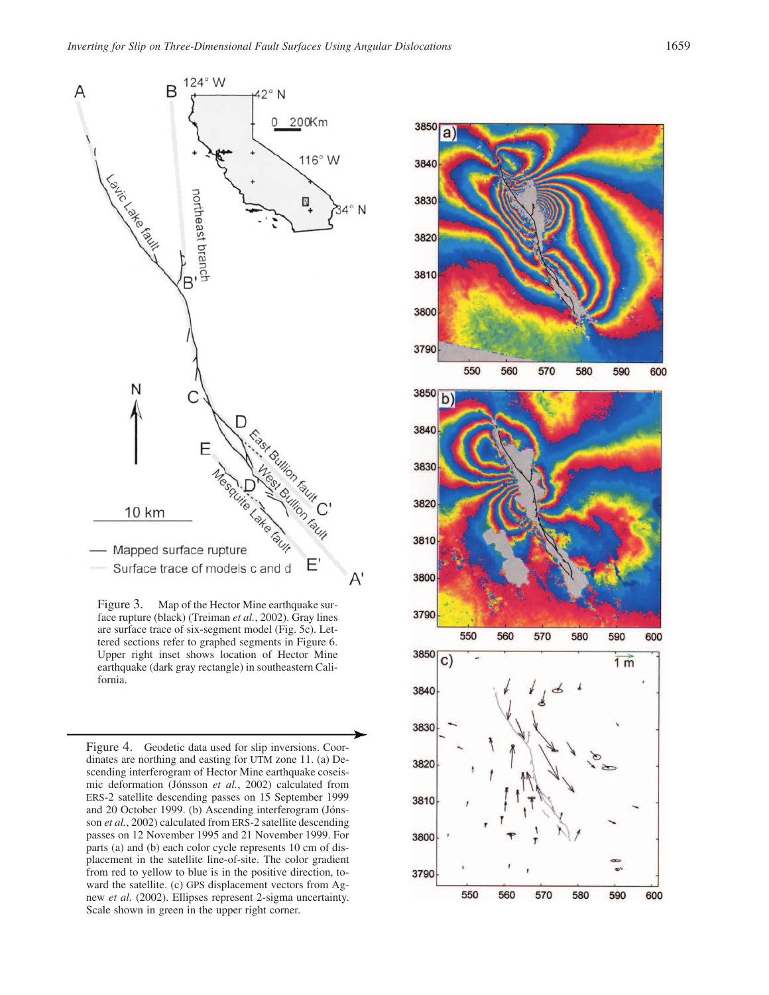

Figure 3. Map of the Hector Mine earthquake surface rupture (black) (Treiman *et al.*, 2002). Gray lines are surface trace of six-segment model (Fig. 5c). Lettered sections refer to graphed segments in Figure 6. Upper right inset shows location of Hector Mine earthquake (dark gray rectangle) in southeastern California.

Figure 4. Geodetic data used for slip inversions. Coordinates are northing and easting for UTM zone 11. (a) Descending interferogram of Hector Mine earthquake coseismic deformation (Jónsson et al., 2002) calculated from ERS-2 satellite descending passes on 15 September 1999 and 20 October 1999. (b) Ascending interferogram (Jónsson *et al.*, 2002) calculated from ERS-2 satellite descending passes on 12 November 1995 and 21 November 1999. For parts (a) and (b) each color cycle represents 10 cm of displacement in the satellite line-of-site. The color gradient from red to yellow to blue is in the positive direction, toward the satellite. (c) GPS displacement vectors from Agnew *et al.* (2002). Ellipses represent 2-sigma uncertainty. Scale shown in green in the upper right corner.

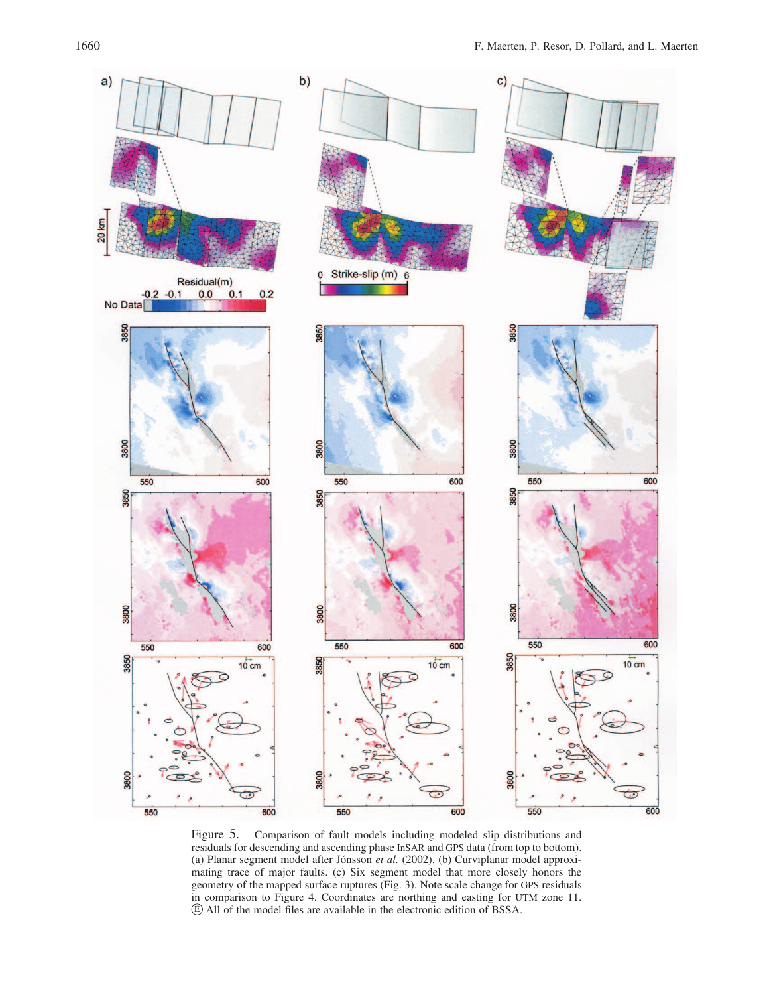

Figure 5. Comparison of fault models including modeled slip distributions and residuals for descending and ascending phase InSAR and GPS data (from top to bottom). (a) Planar segment model after Jónsson et al. (2002). (b) Curviplanar model approximating trace of major faults. (c) Six segment model that more closely honors the geometry of the mapped surface ruptures (Fig. 3). Note scale change for GPS residuals in comparison to Figure 4. Coordinates are northing and easting for UTM zone 11. E All of the model files are available in the electronic edition of BSSA.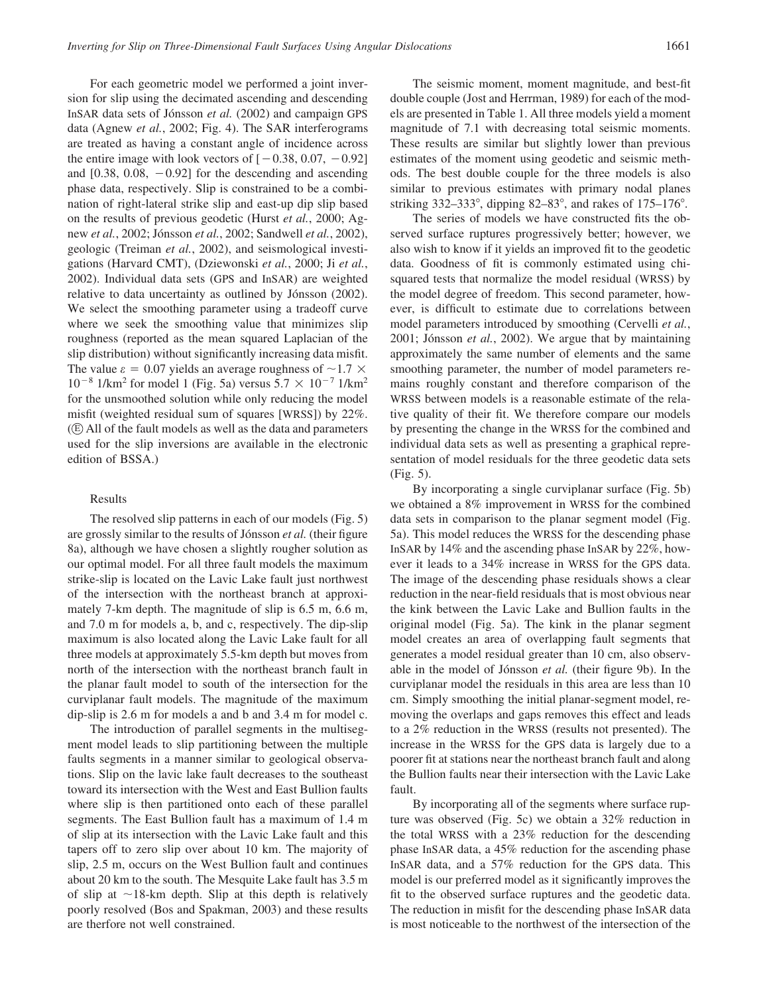For each geometric model we performed a joint inversion for slip using the decimated ascending and descending InSAR data sets of Jónsson et al. (2002) and campaign GPS data (Agnew *et al.*, 2002; Fig. 4). The SAR interferograms are treated as having a constant angle of incidence across the entire image with look vectors of  $[-0.38, 0.07, -0.92]$ and  $[0.38, 0.08, -0.92]$  for the descending and ascending phase data, respectively. Slip is constrained to be a combination of right-lateral strike slip and east-up dip slip based on the results of previous geodetic (Hurst *et al.*, 2000; Agnew *et al.*, 2002; Jónsson *et al.*, 2002; Sandwell *et al.*, 2002), geologic (Treiman *et al.*, 2002), and seismological investigations (Harvard CMT), (Dziewonski *et al.*, 2000; Ji *et al.*, 2002). Individual data sets (GPS and InSAR) are weighted relative to data uncertainty as outlined by Jónsson (2002). We select the smoothing parameter using a tradeoff curve where we seek the smoothing value that minimizes slip roughness (reported as the mean squared Laplacian of the slip distribution) without significantly increasing data misfit. The value  $\varepsilon = 0.07$  yields an average roughness of  $\sim 1.7 \times$  $10^{-8}$  1/km<sup>2</sup> for model 1 (Fig. 5a) versus  $5.7 \times 10^{-7}$  1/km<sup>2</sup> for the unsmoothed solution while only reducing the model misfit (weighted residual sum of squares [WRSS]) by 22%.  $(E)$  All of the fault models as well as the data and parameters used for the slip inversions are available in the electronic edition of BSSA.)

#### Results

The resolved slip patterns in each of our models (Fig. 5) are grossly similar to the results of Jónsson *et al.* (their figure 8a), although we have chosen a slightly rougher solution as our optimal model. For all three fault models the maximum strike-slip is located on the Lavic Lake fault just northwest of the intersection with the northeast branch at approximately 7-km depth. The magnitude of slip is 6.5 m, 6.6 m, and 7.0 m for models a, b, and c, respectively. The dip-slip maximum is also located along the Lavic Lake fault for all three models at approximately 5.5-km depth but moves from north of the intersection with the northeast branch fault in the planar fault model to south of the intersection for the curviplanar fault models. The magnitude of the maximum dip-slip is 2.6 m for models a and b and 3.4 m for model c.

The introduction of parallel segments in the multisegment model leads to slip partitioning between the multiple faults segments in a manner similar to geological observations. Slip on the lavic lake fault decreases to the southeast toward its intersection with the West and East Bullion faults where slip is then partitioned onto each of these parallel segments. The East Bullion fault has a maximum of 1.4 m of slip at its intersection with the Lavic Lake fault and this tapers off to zero slip over about 10 km. The majority of slip, 2.5 m, occurs on the West Bullion fault and continues about 20 km to the south. The Mesquite Lake fault has 3.5 m of slip at  $\sim$ 18-km depth. Slip at this depth is relatively poorly resolved (Bos and Spakman, 2003) and these results are therfore not well constrained.

The seismic moment, moment magnitude, and best-fit double couple (Jost and Herrman, 1989) for each of the models are presented in Table 1. All three models yield a moment magnitude of 7.1 with decreasing total seismic moments. These results are similar but slightly lower than previous estimates of the moment using geodetic and seismic methods. The best double couple for the three models is also similar to previous estimates with primary nodal planes striking  $332-333^{\circ}$ , dipping  $82-83^{\circ}$ , and rakes of  $175-176^{\circ}$ .

The series of models we have constructed fits the observed surface ruptures progressively better; however, we also wish to know if it yields an improved fit to the geodetic data. Goodness of fit is commonly estimated using chisquared tests that normalize the model residual (WRSS) by the model degree of freedom. This second parameter, however, is difficult to estimate due to correlations between model parameters introduced by smoothing (Cervelli *et al.*, 2001; Jónsson et al., 2002). We argue that by maintaining approximately the same number of elements and the same smoothing parameter, the number of model parameters remains roughly constant and therefore comparison of the WRSS between models is a reasonable estimate of the relative quality of their fit. We therefore compare our models by presenting the change in the WRSS for the combined and individual data sets as well as presenting a graphical representation of model residuals for the three geodetic data sets (Fig. 5).

By incorporating a single curviplanar surface (Fig. 5b) we obtained a 8% improvement in WRSS for the combined data sets in comparison to the planar segment model (Fig. 5a). This model reduces the WRSS for the descending phase InSAR by 14% and the ascending phase InSAR by 22%, however it leads to a 34% increase in WRSS for the GPS data. The image of the descending phase residuals shows a clear reduction in the near-field residuals that is most obvious near the kink between the Lavic Lake and Bullion faults in the original model (Fig. 5a). The kink in the planar segment model creates an area of overlapping fault segments that generates a model residual greater than 10 cm, also observable in the model of Jónsson *et al.* (their figure 9b). In the curviplanar model the residuals in this area are less than 10 cm. Simply smoothing the initial planar-segment model, removing the overlaps and gaps removes this effect and leads to a 2% reduction in the WRSS (results not presented). The increase in the WRSS for the GPS data is largely due to a poorer fit at stations near the northeast branch fault and along the Bullion faults near their intersection with the Lavic Lake fault.

By incorporating all of the segments where surface rupture was observed (Fig. 5c) we obtain a 32% reduction in the total WRSS with a 23% reduction for the descending phase InSAR data, a 45% reduction for the ascending phase InSAR data, and a 57% reduction for the GPS data. This model is our preferred model as it significantly improves the fit to the observed surface ruptures and the geodetic data. The reduction in misfit for the descending phase InSAR data is most noticeable to the northwest of the intersection of the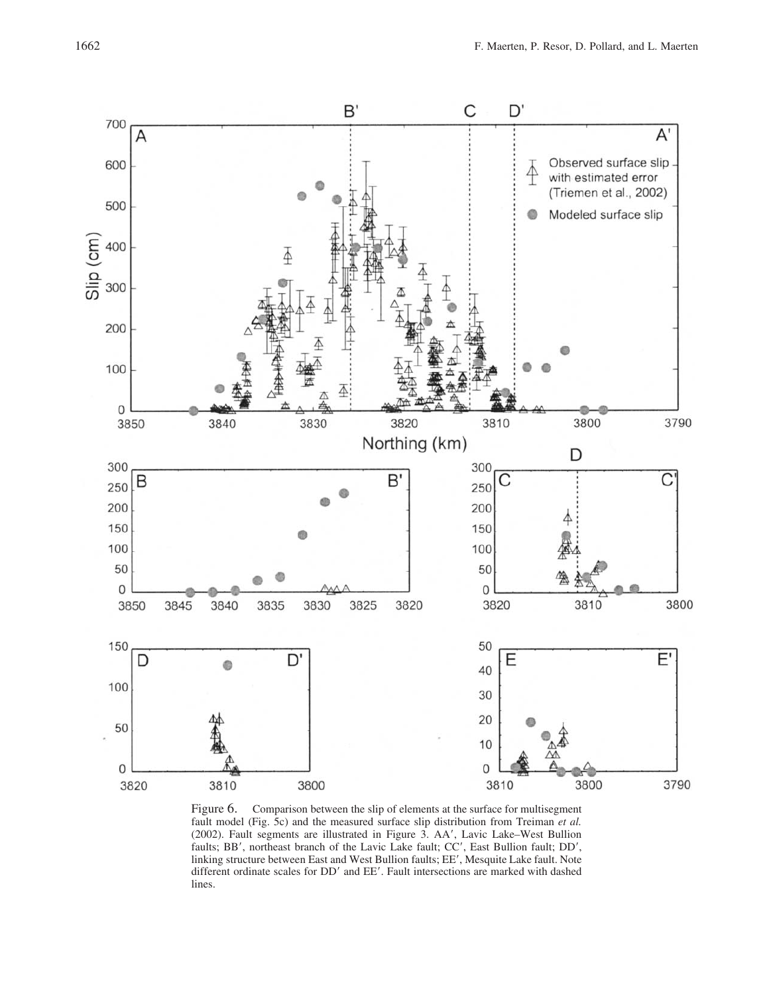

Figure 6. Comparison between the slip of elements at the surface for multisegment fault model (Fig. 5c) and the measured surface slip distribution from Treiman *et al.* (2002). Fault segments are illustrated in Figure 3. AA', Lavic Lake–West Bullion faults; BB', northeast branch of the Lavic Lake fault; CC', East Bullion fault; DD', linking structure between East and West Bullion faults; EE', Mesquite Lake fault. Note different ordinate scales for DD' and EE'. Fault intersections are marked with dashed lines.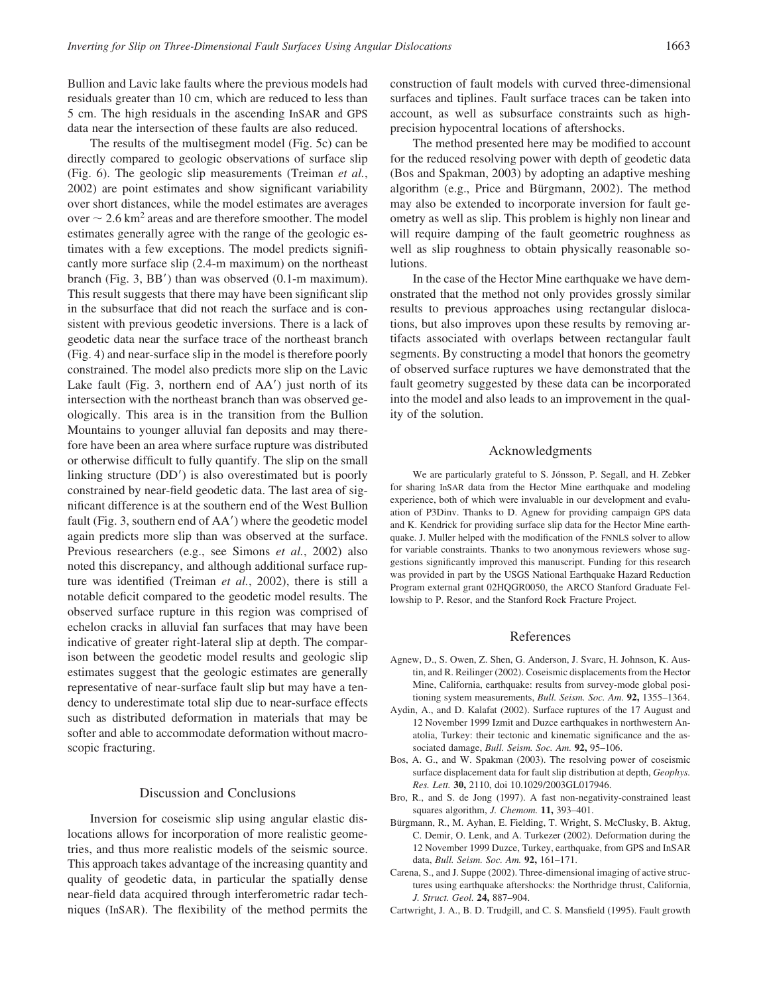Bullion and Lavic lake faults where the previous models had residuals greater than 10 cm, which are reduced to less than 5 cm. The high residuals in the ascending InSAR and GPS data near the intersection of these faults are also reduced.

The results of the multisegment model (Fig. 5c) can be directly compared to geologic observations of surface slip (Fig. 6). The geologic slip measurements (Treiman *et al.*, 2002) are point estimates and show significant variability over short distances, while the model estimates are averages over  $\sim 2.6$  km<sup>2</sup> areas and are therefore smoother. The model estimates generally agree with the range of the geologic estimates with a few exceptions. The model predicts significantly more surface slip (2.4-m maximum) on the northeast branch (Fig. 3,  $BB'$ ) than was observed (0.1-m maximum). This result suggests that there may have been significant slip in the subsurface that did not reach the surface and is consistent with previous geodetic inversions. There is a lack of geodetic data near the surface trace of the northeast branch (Fig. 4) and near-surface slip in the model is therefore poorly constrained. The model also predicts more slip on the Lavic Lake fault (Fig. 3, northern end of AA') just north of its intersection with the northeast branch than was observed geologically. This area is in the transition from the Bullion Mountains to younger alluvial fan deposits and may therefore have been an area where surface rupture was distributed or otherwise difficult to fully quantify. The slip on the small linking structure (DD') is also overestimated but is poorly constrained by near-field geodetic data. The last area of significant difference is at the southern end of the West Bullion fault (Fig. 3, southern end of AA') where the geodetic model again predicts more slip than was observed at the surface. Previous researchers (e.g., see Simons *et al.*, 2002) also noted this discrepancy, and although additional surface rupture was identified (Treiman *et al.*, 2002), there is still a notable deficit compared to the geodetic model results. The observed surface rupture in this region was comprised of echelon cracks in alluvial fan surfaces that may have been indicative of greater right-lateral slip at depth. The comparison between the geodetic model results and geologic slip estimates suggest that the geologic estimates are generally representative of near-surface fault slip but may have a tendency to underestimate total slip due to near-surface effects such as distributed deformation in materials that may be softer and able to accommodate deformation without macroscopic fracturing.

#### Discussion and Conclusions

Inversion for coseismic slip using angular elastic dislocations allows for incorporation of more realistic geometries, and thus more realistic models of the seismic source. This approach takes advantage of the increasing quantity and quality of geodetic data, in particular the spatially dense near-field data acquired through interferometric radar techniques (InSAR). The flexibility of the method permits the construction of fault models with curved three-dimensional surfaces and tiplines. Fault surface traces can be taken into account, as well as subsurface constraints such as highprecision hypocentral locations of aftershocks.

The method presented here may be modified to account for the reduced resolving power with depth of geodetic data (Bos and Spakman, 2003) by adopting an adaptive meshing algorithm (e.g., Price and Bürgmann, 2002). The method may also be extended to incorporate inversion for fault geometry as well as slip. This problem is highly non linear and will require damping of the fault geometric roughness as well as slip roughness to obtain physically reasonable solutions.

In the case of the Hector Mine earthquake we have demonstrated that the method not only provides grossly similar results to previous approaches using rectangular dislocations, but also improves upon these results by removing artifacts associated with overlaps between rectangular fault segments. By constructing a model that honors the geometry of observed surface ruptures we have demonstrated that the fault geometry suggested by these data can be incorporated into the model and also leads to an improvement in the quality of the solution.

#### Acknowledgments

We are particularly grateful to S. Jónsson, P. Segall, and H. Zebker for sharing InSAR data from the Hector Mine earthquake and modeling experience, both of which were invaluable in our development and evaluation of P3Dinv. Thanks to D. Agnew for providing campaign GPS data and K. Kendrick for providing surface slip data for the Hector Mine earthquake. J. Muller helped with the modification of the FNNLS solver to allow for variable constraints. Thanks to two anonymous reviewers whose suggestions significantly improved this manuscript. Funding for this research was provided in part by the USGS National Earthquake Hazard Reduction Program external grant 02HQGR0050, the ARCO Stanford Graduate Fellowship to P. Resor, and the Stanford Rock Fracture Project.

# References

- Agnew, D., S. Owen, Z. Shen, G. Anderson, J. Svarc, H. Johnson, K. Austin, and R. Reilinger (2002). Coseismic displacements from the Hector Mine, California, earthquake: results from survey-mode global positioning system measurements, *Bull. Seism. Soc. Am.* **92,** 1355–1364.
- Aydin, A., and D. Kalafat (2002). Surface ruptures of the 17 August and 12 November 1999 Izmit and Duzce earthquakes in northwestern Anatolia, Turkey: their tectonic and kinematic significance and the associated damage, *Bull. Seism. Soc. Am.* **92,** 95–106.
- Bos, A. G., and W. Spakman (2003). The resolving power of coseismic surface displacement data for fault slip distribution at depth, *Geophys. Res. Lett.* **30,** 2110, doi 10.1029/2003GL017946.
- Bro, R., and S. de Jong (1997). A fast non-negativity-constrained least squares algorithm, *J. Chemom.* **11,** 393–401.
- Bürgmann, R., M. Ayhan, E. Fielding, T. Wright, S. McClusky, B. Aktug, C. Demir, O. Lenk, and A. Turkezer (2002). Deformation during the 12 November 1999 Duzce, Turkey, earthquake, from GPS and InSAR data, *Bull. Seism. Soc. Am.* **92,** 161–171.
- Carena, S., and J. Suppe (2002). Three-dimensional imaging of active structures using earthquake aftershocks: the Northridge thrust, California, *J. Struct. Geol.* **24,** 887–904.
- Cartwright, J. A., B. D. Trudgill, and C. S. Mansfield (1995). Fault growth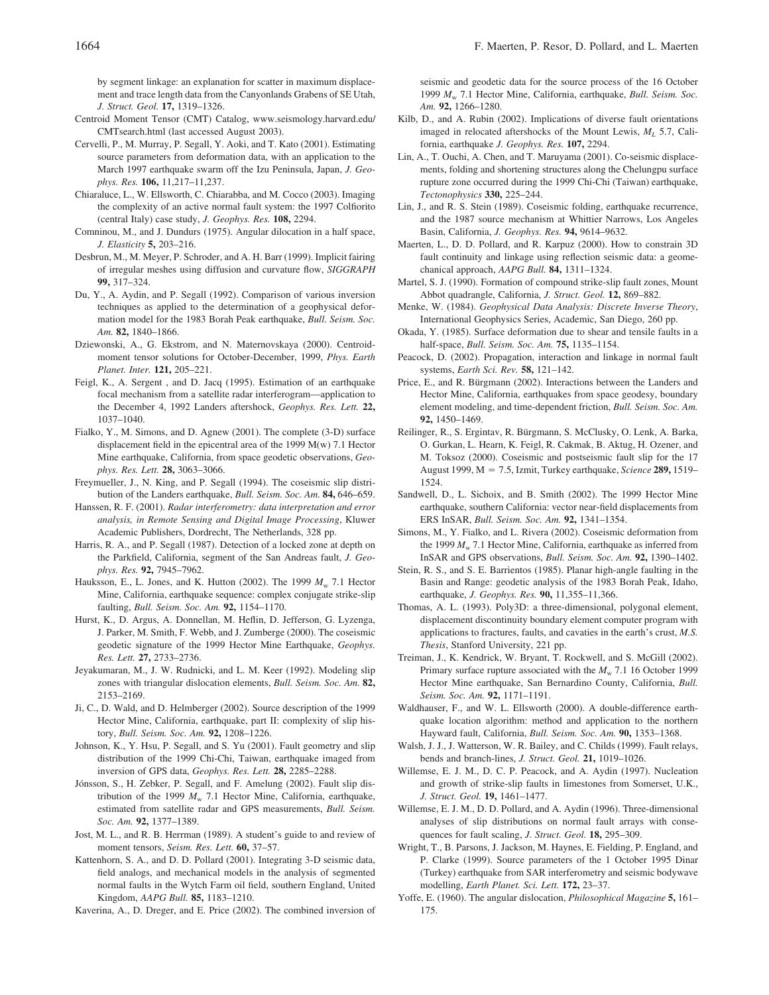by segment linkage: an explanation for scatter in maximum displacement and trace length data from the Canyonlands Grabens of SE Utah, *J. Struct. Geol.* **17,** 1319–1326.

- Centroid Moment Tensor (CMT) Catalog, www.seismology.harvard.edu/ CMTsearch.html (last accessed August 2003).
- Cervelli, P., M. Murray, P. Segall, Y. Aoki, and T. Kato (2001). Estimating source parameters from deformation data, with an application to the March 1997 earthquake swarm off the Izu Peninsula, Japan, *J. Geophys. Res.* **106,** 11,217–11,237.
- Chiaraluce, L., W. Ellsworth, C. Chiarabba, and M. Cocco (2003). Imaging the complexity of an active normal fault system: the 1997 Colfiorito (central Italy) case study, *J. Geophys. Res.* **108,** 2294.
- Comninou, M., and J. Dundurs (1975). Angular dilocation in a half space, *J. Elasticity* **5,** 203–216.
- Desbrun, M., M. Meyer, P. Schroder, and A. H. Barr (1999). Implicit fairing of irregular meshes using diffusion and curvature flow, *SIGGRAPH* **99,** 317–324.
- Du, Y., A. Aydin, and P. Segall (1992). Comparison of various inversion techniques as applied to the determination of a geophysical deformation model for the 1983 Borah Peak earthquake, *Bull. Seism. Soc. Am.* **82,** 1840–1866.
- Dziewonski, A., G. Ekstrom, and N. Maternovskaya (2000). Centroidmoment tensor solutions for October-December, 1999, *Phys. Earth Planet. Inter.* **121,** 205–221.
- Feigl, K., A. Sergent , and D. Jacq (1995). Estimation of an earthquake focal mechanism from a satellite radar interferogram—application to the December 4, 1992 Landers aftershock, *Geophys. Res. Lett.* **22,** 1037–1040.
- Fialko, Y., M. Simons, and D. Agnew (2001). The complete (3-D) surface displacement field in the epicentral area of the 1999 M(w) 7.1 Hector Mine earthquake, California, from space geodetic observations, *Geophys. Res. Lett.* **28,** 3063–3066.
- Freymueller, J., N. King, and P. Segall (1994). The coseismic slip distribution of the Landers earthquake, *Bull. Seism. Soc. Am.* **84,** 646–659.
- Hanssen, R. F. (2001). *Radar interferometry: data interpretation and error analysis, in Remote Sensing and Digital Image Processing*, Kluwer Academic Publishers, Dordrecht, The Netherlands, 328 pp.
- Harris, R. A., and P. Segall (1987). Detection of a locked zone at depth on the Parkfield, California, segment of the San Andreas fault, *J. Geophys. Res.* **92,** 7945–7962.
- Hauksson, E., L. Jones, and K. Hutton (2002). The 1999  $M_{\text{w}}$  7.1 Hector Mine, California, earthquake sequence: complex conjugate strike-slip faulting, *Bull. Seism. Soc. Am.* **92,** 1154–1170.
- Hurst, K., D. Argus, A. Donnellan, M. Heflin, D. Jefferson, G. Lyzenga, J. Parker, M. Smith, F. Webb, and J. Zumberge (2000). The coseismic geodetic signature of the 1999 Hector Mine Earthquake, *Geophys. Res. Lett.* **27,** 2733–2736.
- Jeyakumaran, M., J. W. Rudnicki, and L. M. Keer (1992). Modeling slip zones with triangular dislocation elements, *Bull. Seism. Soc. Am.* **82,** 2153–2169.
- Ji, C., D. Wald, and D. Helmberger (2002). Source description of the 1999 Hector Mine, California, earthquake, part II: complexity of slip history, *Bull. Seism. Soc. Am.* **92,** 1208–1226.
- Johnson, K., Y. Hsu, P. Segall, and S. Yu (2001). Fault geometry and slip distribution of the 1999 Chi-Chi, Taiwan, earthquake imaged from inversion of GPS data, *Geophys. Res. Lett.* **28,** 2285–2288.
- Jónsson, S., H. Zebker, P. Segall, and F. Amelung (2002). Fault slip distribution of the 1999  $M_w$  7.1 Hector Mine, California, earthquake, estimated from satellite radar and GPS measurements, *Bull. Seism. Soc. Am.* **92,** 1377–1389.
- Jost, M. L., and R. B. Herrman (1989). A student's guide to and review of moment tensors, *Seism. Res. Lett.* **60,** 37–57.
- Kattenhorn, S. A., and D. D. Pollard (2001). Integrating 3-D seismic data, field analogs, and mechanical models in the analysis of segmented normal faults in the Wytch Farm oil field, southern England, United Kingdom, *AAPG Bull.* **85,** 1183–1210.
- Kaverina, A., D. Dreger, and E. Price (2002). The combined inversion of

seismic and geodetic data for the source process of the 16 October 1999 *M*<sup>w</sup> 7.1 Hector Mine, California, earthquake, *Bull. Seism. Soc. Am.* **92,** 1266–1280.

- Kilb, D., and A. Rubin (2002). Implications of diverse fault orientations imaged in relocated aftershocks of the Mount Lewis,  $M_L$  5.7, California, earthquake *J. Geophys. Res.* **107,** 2294.
- Lin, A., T. Ouchi, A. Chen, and T. Maruyama (2001). Co-seismic displacements, folding and shortening structures along the Chelungpu surface rupture zone occurred during the 1999 Chi-Chi (Taiwan) earthquake, *Tectonophysics* **330,** 225–244.
- Lin, J., and R. S. Stein (1989). Coseismic folding, earthquake recurrence, and the 1987 source mechanism at Whittier Narrows, Los Angeles Basin, California, *J. Geophys. Res.* **94,** 9614–9632.
- Maerten, L., D. D. Pollard, and R. Karpuz (2000). How to constrain 3D fault continuity and linkage using reflection seismic data: a geomechanical approach, *AAPG Bull.* **84,** 1311–1324.
- Martel, S. J. (1990). Formation of compound strike-slip fault zones, Mount Abbot quadrangle, California, *J. Struct. Geol.* **12,** 869–882.
- Menke, W. (1984). *Geophysical Data Analysis: Discrete Inverse Theory*, International Geophysics Series, Academic, San Diego, 260 pp.
- Okada, Y. (1985). Surface deformation due to shear and tensile faults in a half-space, *Bull. Seism. Soc. Am.* **75,** 1135–1154.
- Peacock, D. (2002). Propagation, interaction and linkage in normal fault systems, *Earth Sci. Rev.* **58,** 121–142.
- Price, E., and R. Bürgmann (2002). Interactions between the Landers and Hector Mine, California, earthquakes from space geodesy, boundary element modeling, and time-dependent friction, *Bull. Seism. Soc. Am.* **92,** 1450–1469.
- Reilinger, R., S. Ergintav, R. Bürgmann, S. McClusky, O. Lenk, A. Barka, O. Gurkan, L. Hearn, K. Feigl, R. Cakmak, B. Aktug, H. Ozener, and M. Toksoz (2000). Coseismic and postseismic fault slip for the 17 August 1999, M 7.5, Izmit, Turkey earthquake, *Science* **289,** 1519– 1524.
- Sandwell, D., L. Sichoix, and B. Smith (2002). The 1999 Hector Mine earthquake, southern California: vector near-field displacements from ERS InSAR, *Bull. Seism. Soc. Am.* **92,** 1341–1354.
- Simons, M., Y. Fialko, and L. Rivera (2002). Coseismic deformation from the 1999  $M_{\rm w}$  7.1 Hector Mine, California, earthquake as inferred from InSAR and GPS observations, *Bull. Seism. Soc. Am.* **92,** 1390–1402.
- Stein, R. S., and S. E. Barrientos (1985). Planar high-angle faulting in the Basin and Range: geodetic analysis of the 1983 Borah Peak, Idaho, earthquake, *J. Geophys. Res.* **90,** 11,355–11,366.
- Thomas, A. L. (1993). Poly3D: a three-dimensional, polygonal element, displacement discontinuity boundary element computer program with applications to fractures, faults, and cavaties in the earth's crust, *M.S. Thesis*, Stanford University, 221 pp.
- Treiman, J., K. Kendrick, W. Bryant, T. Rockwell, and S. McGill (2002). Primary surface rupture associated with the  $M_{\rm w}$  7.1 16 October 1999 Hector Mine earthquake, San Bernardino County, California, *Bull. Seism. Soc. Am.* **92,** 1171–1191.
- Waldhauser, F., and W. L. Ellsworth (2000). A double-difference earthquake location algorithm: method and application to the northern Hayward fault, California, *Bull. Seism. Soc. Am.* **90,** 1353–1368.
- Walsh, J. J., J. Watterson, W. R. Bailey, and C. Childs (1999). Fault relays, bends and branch-lines, *J. Struct. Geol.* **21,** 1019–1026.
- Willemse, E. J. M., D. C. P. Peacock, and A. Aydin (1997). Nucleation and growth of strike-slip faults in limestones from Somerset, U.K., *J. Struct. Geol.* **19,** 1461–1477.
- Willemse, E. J. M., D. D. Pollard, and A. Aydin (1996). Three-dimensional analyses of slip distributions on normal fault arrays with consequences for fault scaling, *J. Struct. Geol.* **18,** 295–309.
- Wright, T., B. Parsons, J. Jackson, M. Haynes, E. Fielding, P. England, and P. Clarke (1999). Source parameters of the 1 October 1995 Dinar (Turkey) earthquake from SAR interferometry and seismic bodywave modelling, *Earth Planet. Sci. Lett.* **172,** 23–37.
- Yoffe, E. (1960). The angular dislocation, *Philosophical Magazine* **5,** 161– 175.